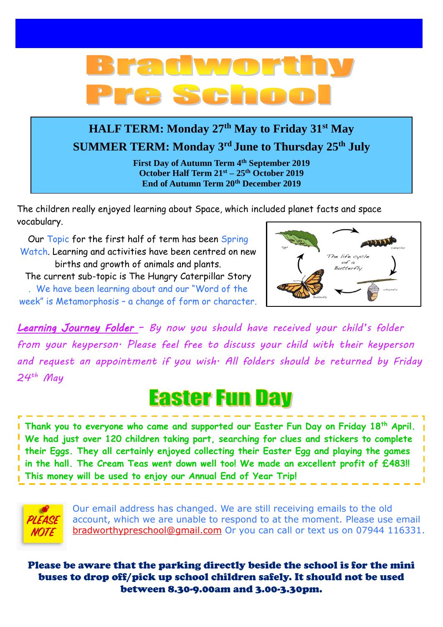# **OBVACI** SGE

## **HALF TERM: Monday 27th May to Friday 31st May SUMMER TERM: Monday 3 rd June to Thursday 25th July**

**First Day of Autumn Term 4th September 2019 October Half Term 21st – 25th October 2019 End of Autumn Term 20th December 2019**

The children really enjoyed learning about Space, which included planet facts and space vocabulary.

Our Topic for the first half of term has been Spring Watch. Learning and activities have been centred on new births and growth of animals and plants.

The current sub-topic is The Hungry Caterpillar Story . We have been learning about and our "Word of the week" is Metamorphosis – a change of form or character.



*Learning Journey Folder – By now you should have received your child's folder from your keyperson. Please feel free to discuss your child with their keyperson and request an appointment if you wish. All folders should be returned by Friday 24th May*

## **Easter Fun Day**

**Thank you to everyone who came and supported our Easter Fun Day on Friday 18th April. We had just over 120 children taking part, searching for clues and stickers to complete their Eggs. They all certainly enjoyed collecting their Easter Egg and playing the games in the hall. The Cream Teas went down well too! We made an excellent profit of £483!! This money will be used to enjoy our Annual End of Year Trip!**



Our email address has changed. We are still receiving emails to the old account, which we are unable to respond to at the moment. Please use email [bradworthypreschool@gmail.com](mailto:bradworthypreschool@gmail.com) Or you can call or text us on 07944 116331.

Please be aware that the parking directly beside the school is for the mini buses to drop off/pick up school children safely. It should not be used between 8.30-9.00am and 3.00-3.30pm.